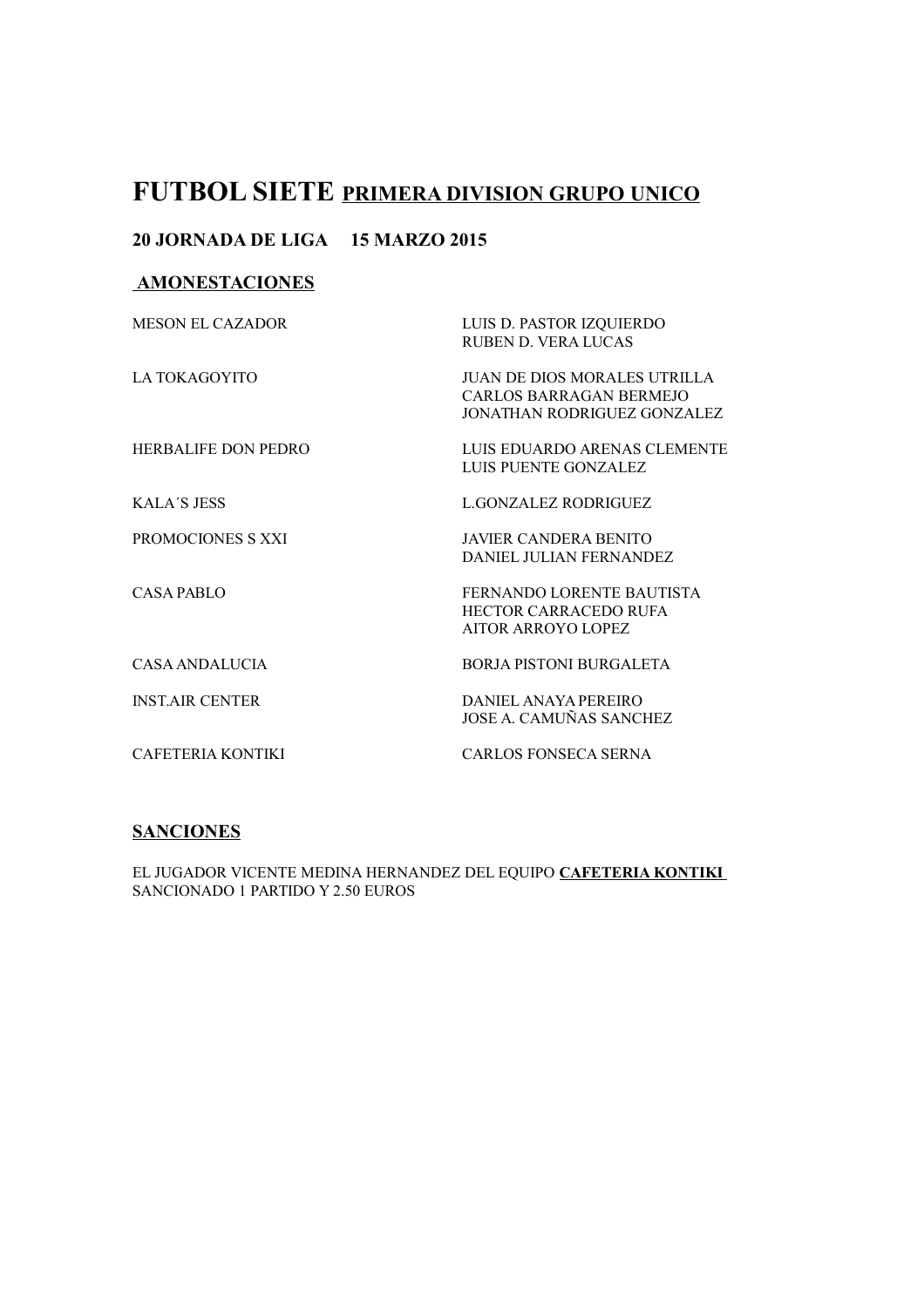# **FUTBOL SIETE PRIMERA DIVISION GRUPO UNICO**

### **20 JORNADA DE LIGA 15 MARZO 2015**

### **AMONESTACIONES**

| <b>MESON EL CAZADOR</b> | LUIS D. PASTOR IZQUIERDO<br><b>RUBEN D. VERA LUCAS</b>                                 |
|-------------------------|----------------------------------------------------------------------------------------|
| LA TOKAGOYITO           | JUAN DE DIOS MORALES UTRILLA<br>CARLOS BARRAGAN BERMEJO<br>JONATHAN RODRIGUEZ GONZALEZ |
| HERBALIFE DON PEDRO     | LUIS EDUARDO ARENAS CLEMENTE<br>LUIS PUENTE GONZALEZ                                   |
| <b>KALA'S JESS</b>      | L.GONZALEZ RODRIGUEZ                                                                   |
| PROMOCIONES S XXI       | <b>JAVIER CANDERA BENITO</b><br>DANIEL JULIAN FERNANDEZ                                |
| CASA PABLO              | FERNANDO LORENTE BAUTISTA<br><b>HECTOR CARRACEDO RUFA</b><br>AITOR ARROYO LOPEZ        |
| CASA ANDALUCIA          | <b>BORJA PISTONI BURGALETA</b>                                                         |
| <b>INST AIR CENTER</b>  | DANIEL ANAYA PEREIRO<br>JOSE A. CAMUÑAS SANCHEZ                                        |
| CAFETERIA KONTIKI       | CARLOS FONSECA SERNA                                                                   |

## **SANCIONES**

EL JUGADOR VICENTE MEDINA HERNANDEZ DEL EQUIPO **CAFETERIA KONTIKI**  SANCIONADO 1 PARTIDO Y 2.50 EUROS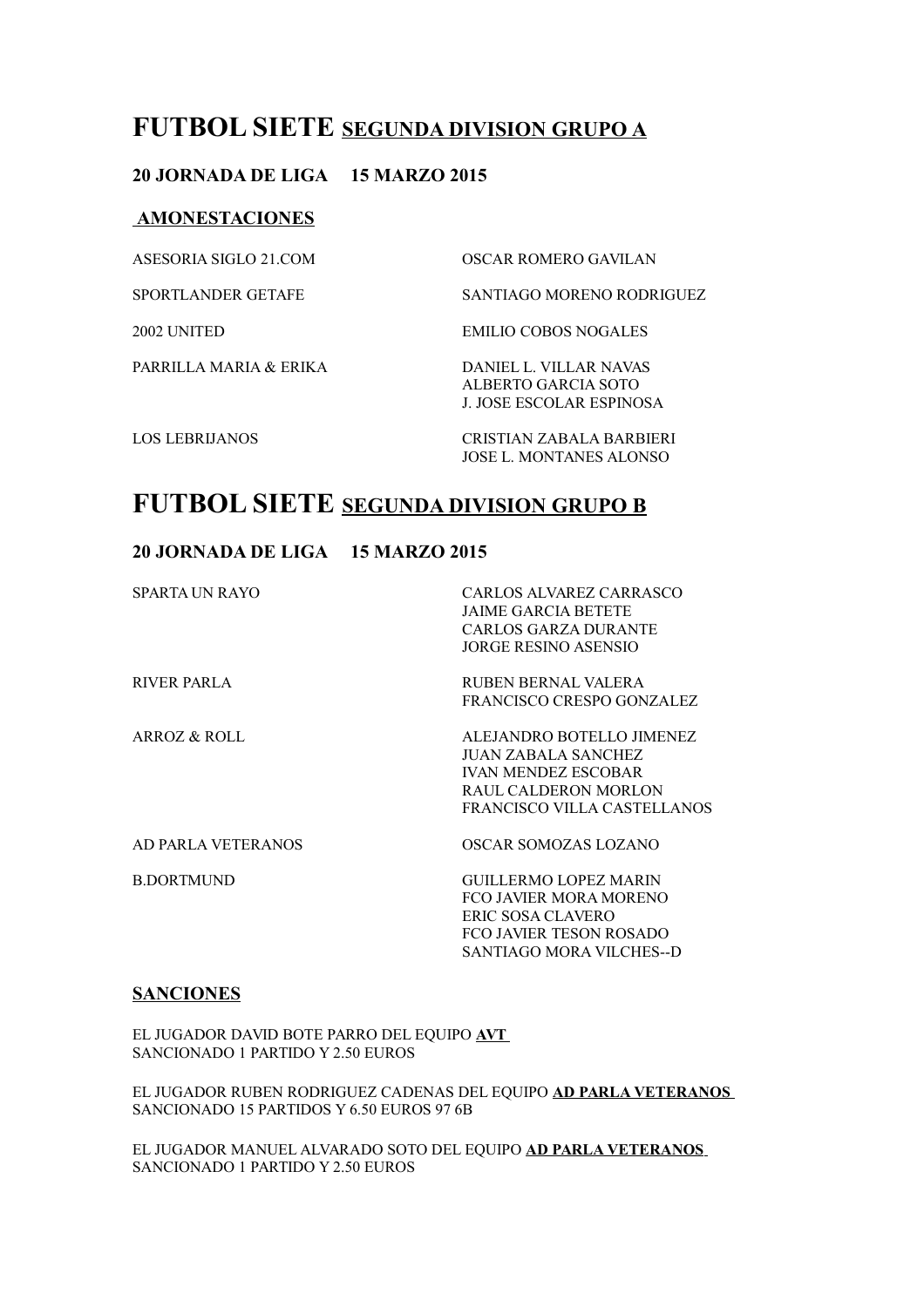## **FUTBOL SIETE SEGUNDA DIVISION GRUPO A**

### **20 JORNADA DE LIGA 15 MARZO 2015**

#### **AMONESTACIONES**

| ASESORIA SIGLO 21.COM     | OSCAR ROMERO GAVILAN                                                      |
|---------------------------|---------------------------------------------------------------------------|
| <b>SPORTLANDER GETAFE</b> | <b>SANTIAGO MORENO RODRIGUEZ</b>                                          |
| 2002 UNITED               | EMILIO COBOS NOGALES                                                      |
| PARRILLA MARIA & ERIKA    | DANIEL L. VILLAR NAVAS<br>ALBERTO GARCIA SOTO<br>J. JOSE ESCOLAR ESPINOSA |
| <b>LOS LEBRIJANOS</b>     | CRISTIAN ZABALA BARBIERI<br><b>JOSE L. MONTANES ALONSO</b>                |

## **FUTBOL SIETE SEGUNDA DIVISION GRUPO B**

### **20 JORNADA DE LIGA 15 MARZO 2015**

| SPARTA UN RAYO      | CARLOS ALVAREZ CARRASCO<br>JAIME GARCIA BETETE<br>CARLOS GARZA DURANTE<br><b>JORGE RESINO ASENSIO</b>                                 |
|---------------------|---------------------------------------------------------------------------------------------------------------------------------------|
| RIVER PARLA         | RUBEN BERNAL VALERA<br>FRANCISCO CRESPO GONZALEZ                                                                                      |
| ARROZ & ROLL        | ALEJANDRO BOTELLO JIMENEZ<br>JUAN ZABALA SANCHEZ<br><b>IVAN MENDEZ ESCOBAR</b><br>RAUL CALDERON MORLON<br>FRANCISCO VILLA CASTELLANOS |
| AD PARLA VETER ANOS | OSCAR SOMOZAS LOZANO                                                                                                                  |
| <b>B.DORTMUND</b>   | <b>GUILLERMO LOPEZ MARIN</b><br>FCO JAVIER MORA MORENO<br>ERIC SOSA CLAVERO<br>FCO JAVIER TESON ROSADO<br>SANTIAGO MORA VILCHES--D    |

#### **SANCIONES**

EL JUGADOR DAVID BOTE PARRO DEL EQUIPO **AVT**  SANCIONADO 1 PARTIDO Y 2.50 EUROS

EL JUGADOR RUBEN RODRIGUEZ CADENAS DEL EQUIPO **AD PARLA VETERANOS** SANCIONADO 15 PARTIDOS Y 6.50 EUROS 97 6B

EL JUGADOR MANUEL ALVARADO SOTO DEL EQUIPO **AD PARLA VETERANOS** SANCIONADO 1 PARTIDO Y 2.50 EUROS